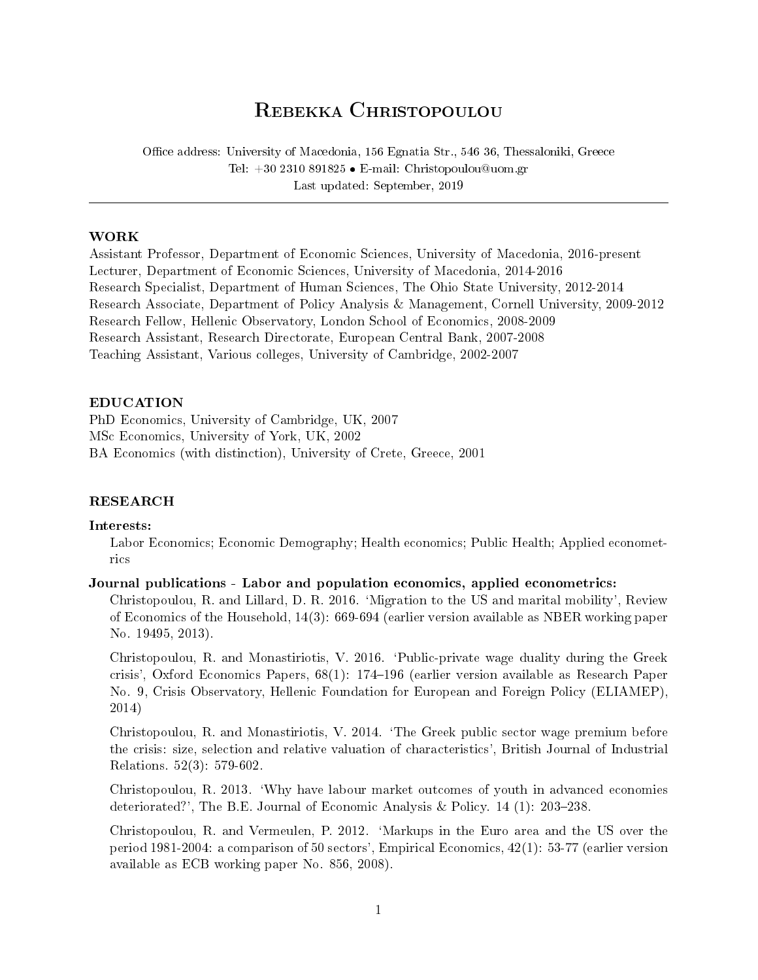# REBEKKA CHRISTOPOULOU

Office address: University of Macedonia, 156 Egnatia Str., 546 36, Thessaloniki, Greece Tel:  $+302310891825 \bullet E-mail$ : Christopoulou@uom.gr Last updated: September, 2019

## WORK

Assistant Professor, Department of Economic Sciences, University of Macedonia, 2016-present Lecturer, Department of Economic Sciences, University of Macedonia, 2014-2016 Research Specialist, Department of Human Sciences, The Ohio State University, 2012-2014 Research Associate, Department of Policy Analysis & Management, Cornell University, 2009-2012 Research Fellow, Hellenic Observatory, London School of Economics, 2008-2009 Research Assistant, Research Directorate, European Central Bank, 2007-2008 Teaching Assistant, Various colleges, University of Cambridge, 2002-2007

# EDUCATION

PhD Economics, University of Cambridge, UK, 2007 MSc Economics, University of York, UK, 2002 BA Economics (with distinction), University of Crete, Greece, 2001

# RESEARCH

#### Interests:

Labor Economics; Economic Demography; Health economics; Public Health; Applied econometrics

# Journal publications - Labor and population economics, applied econometrics:

Christopoulou, R. and Lillard, D. R. 2016. `Migration to the US and marital mobility', Review of Economics of the Household, 14(3): 669-694 (earlier version available as NBER working paper No. 19495, 2013).

Christopoulou, R. and Monastiriotis, V. 2016. `Public-private wage duality during the Greek crisis', Oxford Economics Papers, 68(1): 174196 (earlier version available as Research Paper No. 9, Crisis Observatory, Hellenic Foundation for European and Foreign Policy (ELIAMEP), 2014)

Christopoulou, R. and Monastiriotis, V. 2014. `The Greek public sector wage premium before the crisis: size, selection and relative valuation of characteristics', British Journal of Industrial Relations. 52(3): 579-602.

Christopoulou, R. 2013. `Why have labour market outcomes of youth in advanced economies deteriorated?', The B.E. Journal of Economic Analysis & Policy.  $14$  (1): 203–238.

Christopoulou, R. and Vermeulen, P. 2012. `Markups in the Euro area and the US over the period 1981-2004: a comparison of 50 sectors', Empirical Economics, 42(1): 53-77 (earlier version available as ECB working paper No. 856, 2008).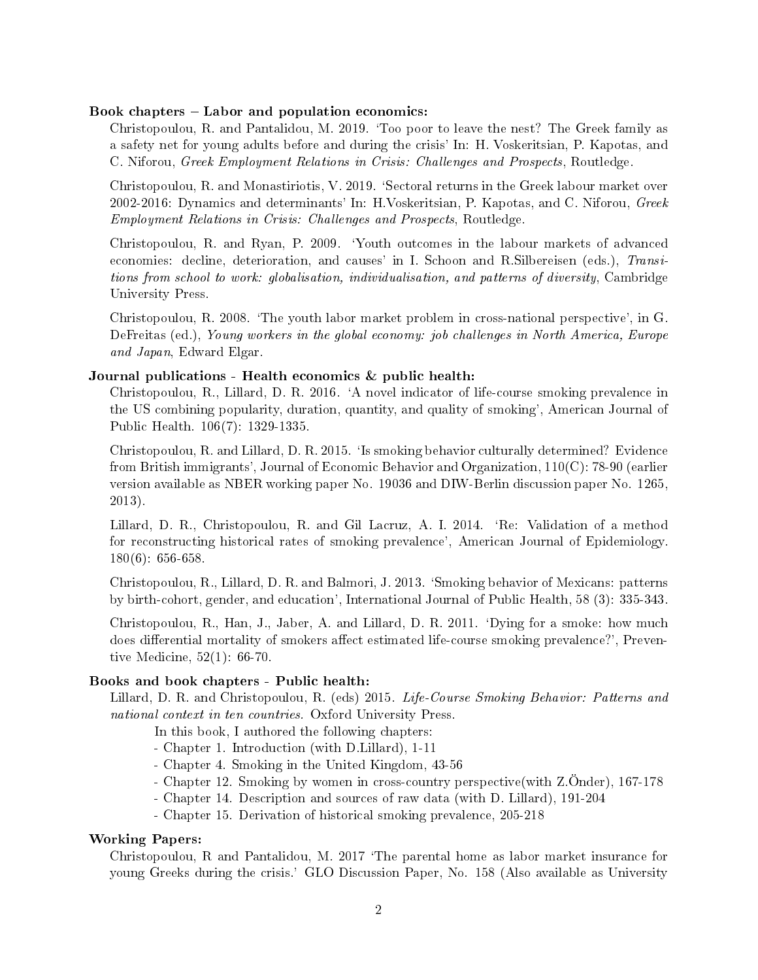#### Book chapters  $-$  Labor and population economics:

Christopoulou, R. and Pantalidou, M. 2019. `Too poor to leave the nest? The Greek family as a safety net for young adults before and during the crisis' In: H. Voskeritsian, P. Kapotas, and C. Niforou, Greek Employment Relations in Crisis: Challenges and Prospects, Routledge.

Christopoulou, R. and Monastiriotis, V. 2019. `Sectoral returns in the Greek labour market over 2002-2016: Dynamics and determinants' In: H. Voskeritsian, P. Kapotas, and C. Niforou,  $Greek$ Employment Relations in Crisis: Challenges and Prospects, Routledge.

Christopoulou, R. and Ryan, P. 2009. `Youth outcomes in the labour markets of advanced economies: decline, deterioration, and causes' in I. Schoon and R.Silbereisen (eds.), Transitions from school to work: globalisation, individualisation, and patterns of diversity, Cambridge University Press.

Christopoulou, R. 2008. `The youth labor market problem in cross-national perspective', in G. DeFreitas (ed.), Young workers in the global economy: job challenges in North America, Europe and Japan, Edward Elgar.

## Journal publications - Health economics & public health:

Christopoulou, R., Lillard, D. R. 2016. `A novel indicator of life-course smoking prevalence in the US combining popularity, duration, quantity, and quality of smoking', American Journal of Public Health. 106(7): 1329-1335.

Christopoulou, R. and Lillard, D. R. 2015. `Is smoking behavior culturally determined? Evidence from British immigrants', Journal of Economic Behavior and Organization, 110(C): 78-90 (earlier version available as NBER working paper No. 19036 and DIW-Berlin discussion paper No. 1265, 2013).

Lillard, D. R., Christopoulou, R. and Gil Lacruz, A. I. 2014. `Re: Validation of a method for reconstructing historical rates of smoking prevalence', American Journal of Epidemiology. 180(6): 656-658.

Christopoulou, R., Lillard, D. R. and Balmori, J. 2013. `Smoking behavior of Mexicans: patterns by birth-cohort, gender, and education', International Journal of Public Health, 58 (3): 335-343.

Christopoulou, R., Han, J., Jaber, A. and Lillard, D. R. 2011. `Dying for a smoke: how much does differential mortality of smokers affect estimated life-course smoking prevalence?', Preventive Medicine, 52(1): 66-70.

# Books and book chapters - Public health:

Lillard, D. R. and Christopoulou, R. (eds) 2015. Life-Course Smoking Behavior: Patterns and national context in ten countries. Oxford University Press.

In this book, I authored the following chapters:

- Chapter 1. Introduction (with D.Lillard), 1-11

- Chapter 4. Smoking in the United Kingdom, 43-56
- Chapter 12. Smoking by women in cross-country perspective(with Z.Önder), 167-178
- Chapter 14. Description and sources of raw data (with D. Lillard), 191-204
- Chapter 15. Derivation of historical smoking prevalence, 205-218

#### Working Papers:

Christopoulou,  $R$  and Pantalidou, M. 2017  $T$ he parental home as labor market insurance for young Greeks during the crisis.' GLO Discussion Paper, No. 158 (Also available as University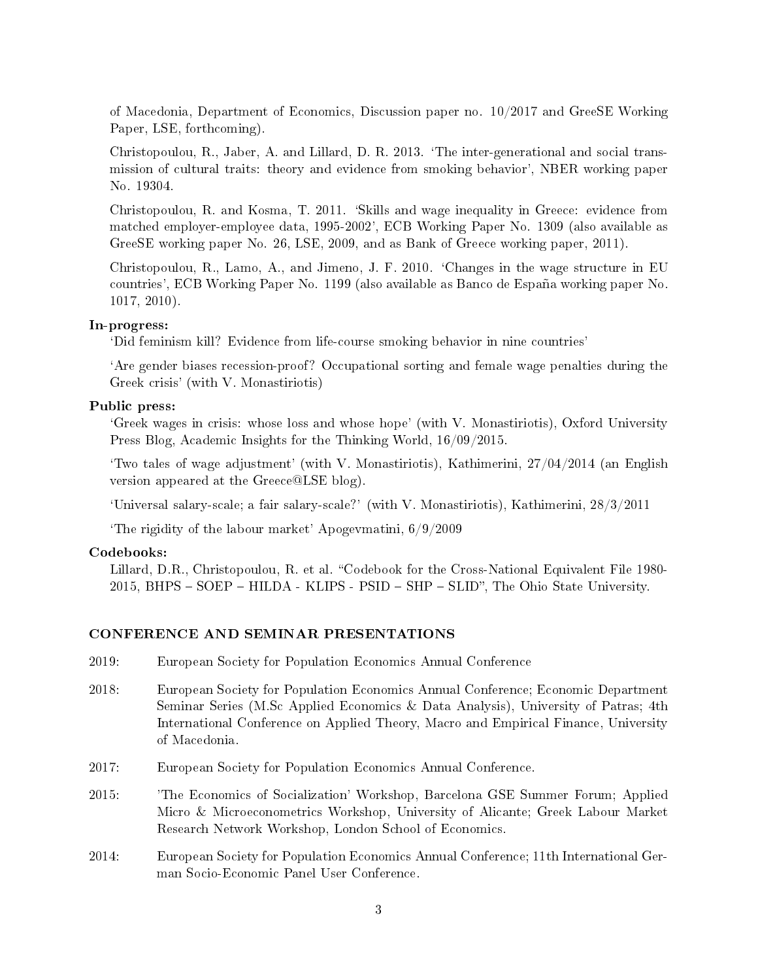of Macedonia, Department of Economics, Discussion paper no. 10/2017 and GreeSE Working Paper, LSE, forthcoming).

Christopoulou, R., Jaber, A. and Lillard, D. R. 2013. `The inter-generational and social transmission of cultural traits: theory and evidence from smoking behavior', NBER working paper No. 19304.

Christopoulou, R. and Kosma, T. 2011. `Skills and wage inequality in Greece: evidence from matched employer-employee data, 1995-2002', ECB Working Paper No. 1309 (also available as GreeSE working paper No. 26, LSE, 2009, and as Bank of Greece working paper, 2011).

Christopoulou, R., Lamo, A., and Jimeno, J. F. 2010. `Changes in the wage structure in EU countries', ECB Working Paper No. 1199 (also available as Banco de España working paper No. 1017, 2010).

#### In-progress:

`Did feminism kill? Evidence from life-course smoking behavior in nine countries'

`Are gender biases recession-proof? Occupational sorting and female wage penalties during the Greek crisis' (with V. Monastiriotis)

# Public press:

`Greek wages in crisis: whose loss and whose hope' (with V. Monastiriotis), Oxford University Press Blog, Academic Insights for the Thinking World, 16/09/2015.

Two tales of wage adjustment' (with V. Monastiriotis), Kathimerini,  $27/04/2014$  (an English version appeared at the Greece@LSE blog).

`Universal salary-scale; a fair salary-scale?' (with V. Monastiriotis), Kathimerini, 28/3/2011

`The rigidity of the labour market' Apogevmatini, 6/9/2009

#### Codebooks:

Lillard, D.R., Christopoulou, R. et al. "Codebook for the Cross-National Equivalent File 1980-2015, BHPS – SOEP – HILDA - KLIPS - PSID – SHP – SLID", The Ohio State University.

#### CONFERENCE AND SEMINAR PRESENTATIONS

- 2019: European Society for Population Economics Annual Conference
- 2018: European Society for Population Economics Annual Conference; Economic Department Seminar Series (M.Sc Applied Economics & Data Analysis), University of Patras; 4th International Conference on Applied Theory, Macro and Empirical Finance, University of Macedonia.
- 2017: European Society for Population Economics Annual Conference.
- 2015: 'The Economics of Socialization' Workshop, Barcelona GSE Summer Forum; Applied Micro & Microeconometrics Workshop, University of Alicante; Greek Labour Market Research Network Workshop, London School of Economics.
- 2014: European Society for Population Economics Annual Conference; 11th International German Socio-Economic Panel User Conference.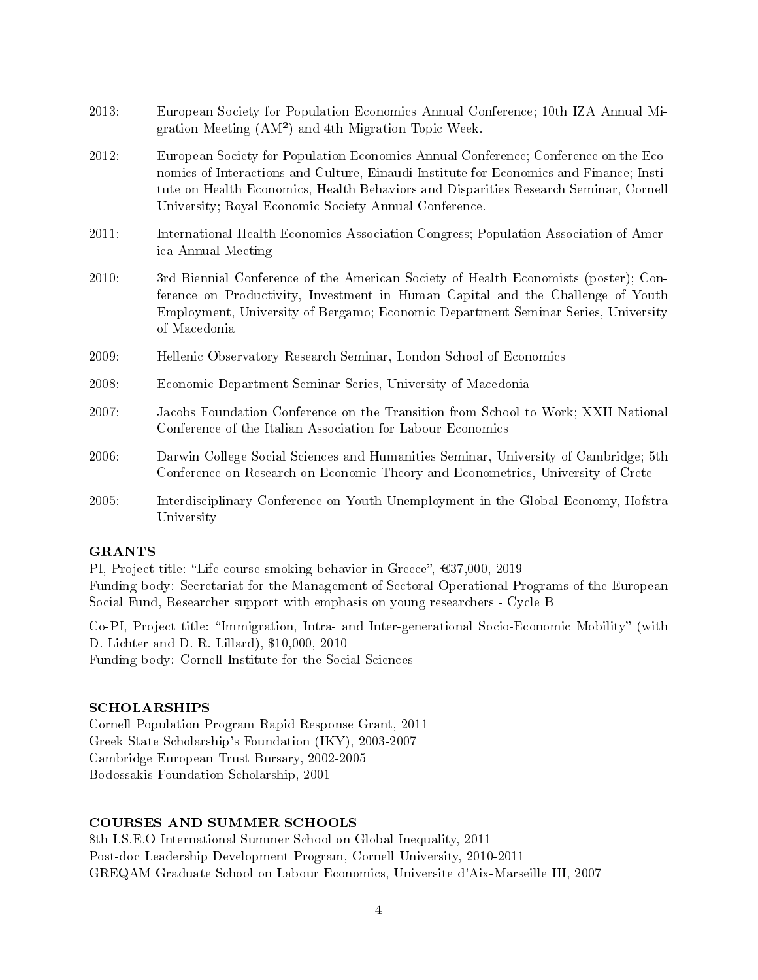- 2013: European Society for Population Economics Annual Conference; 10th IZA Annual Migration Meeting (AM²) and 4th Migration Topic Week.
- 2012: European Society for Population Economics Annual Conference; Conference on the Economics of Interactions and Culture, Einaudi Institute for Economics and Finance; Institute on Health Economics, Health Behaviors and Disparities Research Seminar, Cornell University; Royal Economic Society Annual Conference.
- 2011: International Health Economics Association Congress; Population Association of America Annual Meeting
- 2010: 3rd Biennial Conference of the American Society of Health Economists (poster); Conference on Productivity, Investment in Human Capital and the Challenge of Youth Employment, University of Bergamo; Economic Department Seminar Series, University of Macedonia
- 2009: Hellenic Observatory Research Seminar, London School of Economics
- 2008: Economic Department Seminar Series, University of Macedonia
- 2007: Jacobs Foundation Conference on the Transition from School to Work; XXII National Conference of the Italian Association for Labour Economics
- 2006: Darwin College Social Sciences and Humanities Seminar, University of Cambridge; 5th Conference on Research on Economic Theory and Econometrics, University of Crete
- 2005: Interdisciplinary Conference on Youth Unemployment in the Global Economy, Hofstra University

#### GRANTS

PI, Project title: "Life-course smoking behavior in Greece",  $637,000$ ,  $2019$ Funding body: Secretariat for the Management of Sectoral Operational Programs of the European Social Fund, Researcher support with emphasis on young researchers - Cycle B

Co-PI, Project title: "Immigration, Intra- and Inter-generational Socio-Economic Mobility" (with D. Lichter and D. R. Lillard), \$10,000, 2010 Funding body: Cornell Institute for the Social Sciences

# SCHOLARSHIPS

Cornell Population Program Rapid Response Grant, 2011 Greek State Scholarship's Foundation (IKY), 2003-2007 Cambridge European Trust Bursary, 2002-2005 Bodossakis Foundation Scholarship, 2001

## COURSES AND SUMMER SCHOOLS

8th I.S.E.O International Summer School on Global Inequality, 2011 Post-doc Leadership Development Program, Cornell University, 2010-2011 GREQAM Graduate School on Labour Economics, Universite d'Aix-Marseille III, 2007